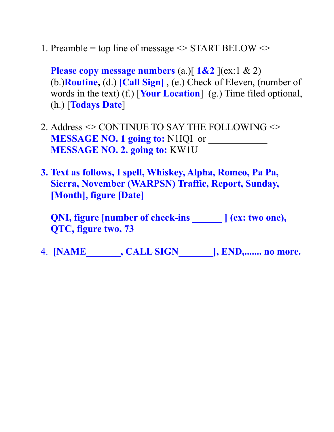1. Preamble = top line of message  $\leq$  START BELOW  $\leq$ 

**Please copy message numbers** (a.)  $\left[ 1\& 2 \right]$  (ex:1 & 2) (b.)**Routine,** (d.) **[Call Sign]** , (e.) Check of Eleven, (number of words in the text) (f.) [**Your Location**] (g.) Time filed optional, (h.) [**Todays Date**]

- 2. Address  $\odot$  CONTINUE TO SAY THE FOLLOWING  $\odot$ **MESSAGE NO. 1 going to:** N1IQI or **MESSAGE NO. 2. going to:** KW1U
- **3. Text as follows, I spell, Whiskey, Alpha, Romeo, Pa Pa, Sierra, November (WARPSN) Traffic, Report, Sunday, [Month], figure [Date]**

**QNI, figure [number of check-ins \_\_\_\_\_\_ ] (ex: two one), QTC, figure two, 73** 

4. **[NAME\_\_\_\_\_\_\_, CALL SIGN\_\_\_\_\_\_\_], END,....... no more.**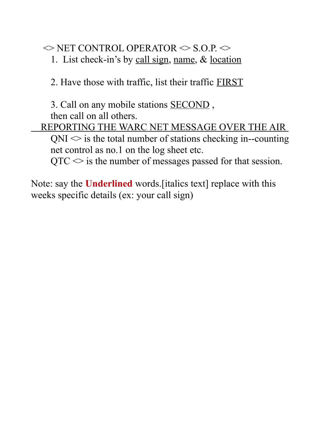$\Diamond$  NET CONTROL OPERATOR  $\Diamond$  S.O.P.  $\Diamond$ 

1. List check-in's by call sign, name, & location

2. Have those with traffic, list their traffic FIRST

3. Call on any mobile stations SECOND , then call on all others.

 REPORTING THE WARC NET MESSAGE OVER THE AIR  $QNI \leq i$  is the total number of stations checking in--counting net control as no.1 on the log sheet etc.

 $QTC \leq$  is the number of messages passed for that session.

Note: say the **Underlined** words.[italics text] replace with this weeks specific details (ex: your call sign)